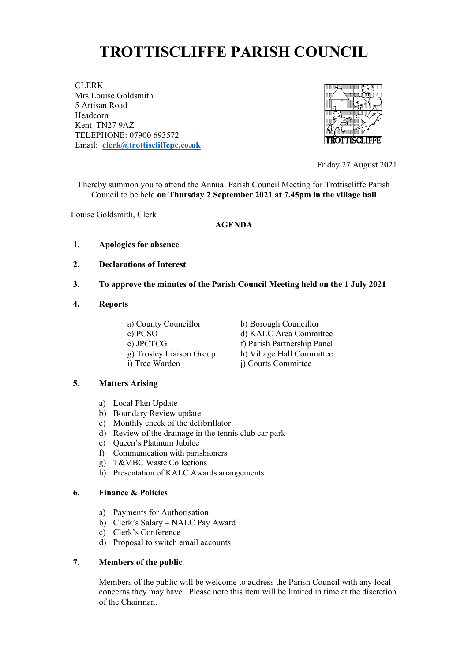# **TROTTISCLIFFE PARISH COUNCIL**

CLERK Mrs Louise Goldsmith 5 Artisan Road Headcorn Kent TN27 9AZ TELEPHONE: 07900 693572 Email: **[clerk@trottiscliffepc.co.uk](mailto:clerk@trottiscliffepc.co.uk)**



Friday 27 August 2021

I hereby summon you to attend the Annual Parish Council Meeting for Trottiscliffe Parish Council to be held **on Thursday 2 September 2021 at 7.45pm in the village hall** 

Louise Goldsmith, Clerk

#### **AGENDA**

- **1. Apologies for absence**
- **2. Declarations of Interest**
- **3. To approve the minutes of the Parish Council Meeting held on the 1 July 2021**
- **4. Reports**
	-
	-
	-
	- i) Tree Warden j) Courts Committee

 a) County Councillor b) Borough Councillor c) PCSO d) KALC Area Committee e) JPCTCG f) Parish Partnership Panel g) Trosley Liaison Group h) Village Hall Committee

#### **5. Matters Arising**

- a) Local Plan Update
- b) Boundary Review update
- c) Monthly check of the defibrillator
- d) Review of the drainage in the tennis club car park
- e) Queen's Platinum Jubilee
- f) Communication with parishioners
- g) T&MBC Waste Collections
- h) Presentation of KALC Awards arrangements

#### **6. Finance & Policies**

- a) Payments for Authorisation
- b) Clerk's Salary NALC Pay Award
- c) Clerk's Conference
- d) Proposal to switch email accounts

## **7. Members of the public**

Members of the public will be welcome to address the Parish Council with any local concerns they may have. Please note this item will be limited in time at the discretion of the Chairman.